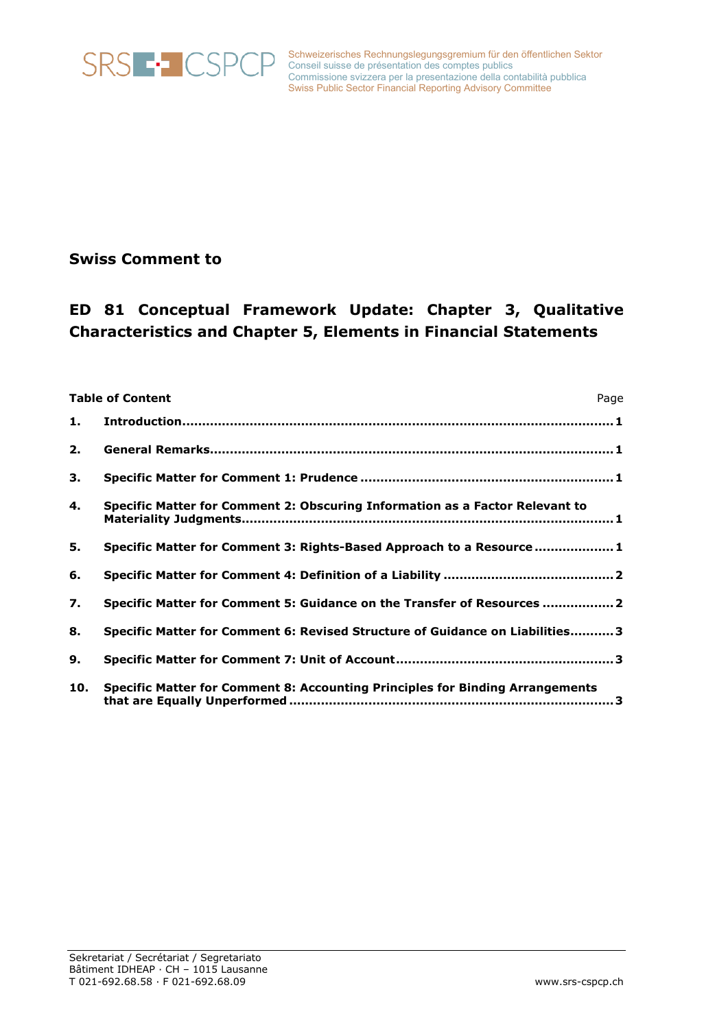

Schweizerisches Rechnungslegungsgremium für den öffentlichen Sektor Conseil suisse de présentation des comptes publics Commissione svizzera per la presentazione della contabilità pubblica Swiss Public Sector Financial Reporting Advisory Committee

# **Swiss Comment to**

# **ED 81 Conceptual Framework Update: Chapter 3, Qualitative Characteristics and Chapter 5, Elements in Financial Statements**

| <b>Table of Content</b><br>Page |                                                                               |
|---------------------------------|-------------------------------------------------------------------------------|
| 1.                              |                                                                               |
| 2.                              |                                                                               |
| 3.                              |                                                                               |
| 4.                              | Specific Matter for Comment 2: Obscuring Information as a Factor Relevant to  |
| 5.                              | Specific Matter for Comment 3: Rights-Based Approach to a Resource  1         |
| 6.                              |                                                                               |
| 7.                              | Specific Matter for Comment 5: Guidance on the Transfer of Resources  2       |
| 8.                              | Specific Matter for Comment 6: Revised Structure of Guidance on Liabilities 3 |
| 9.                              |                                                                               |
| 10.                             | Specific Matter for Comment 8: Accounting Principles for Binding Arrangements |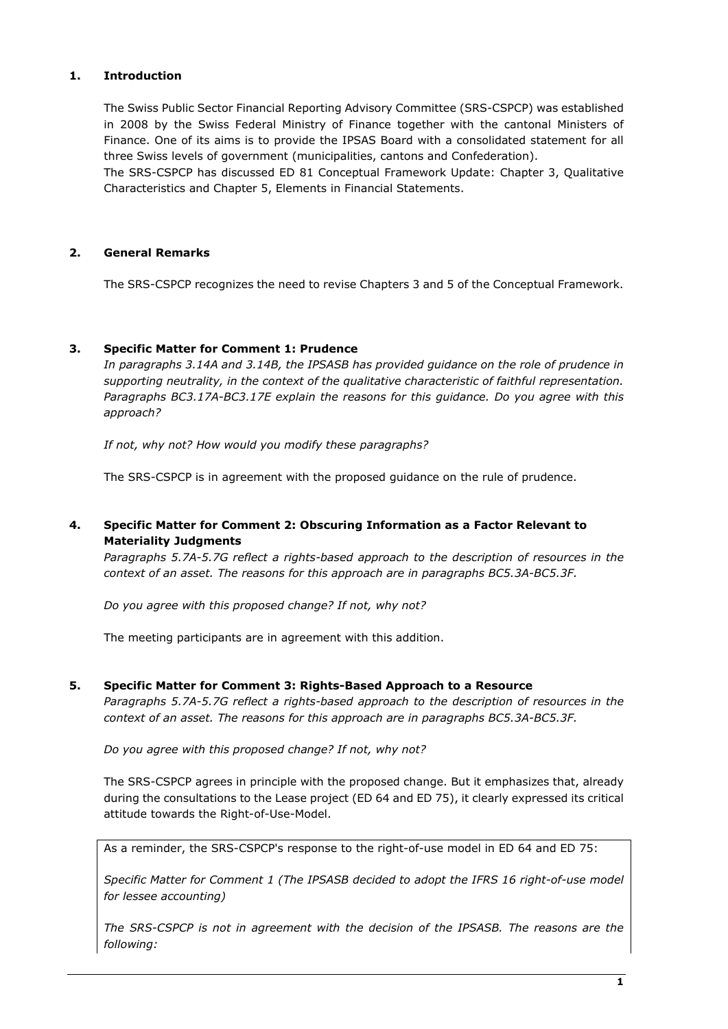#### <span id="page-1-0"></span>**1. Introduction**

The Swiss Public Sector Financial Reporting Advisory Committee (SRS-CSPCP) was established in 2008 by the Swiss Federal Ministry of Finance together with the cantonal Ministers of Finance. One of its aims is to provide the IPSAS Board with a consolidated statement for all three Swiss levels of government (municipalities, cantons and Confederation).

The SRS-CSPCP has discussed ED 81 Conceptual Framework Update: Chapter 3, Qualitative Characteristics and Chapter 5, Elements in Financial Statements.

# <span id="page-1-1"></span>**2. General Remarks**

The SRS-CSPCP recognizes the need to revise Chapters 3 and 5 of the Conceptual Framework.

#### <span id="page-1-2"></span>**3. Specific Matter for Comment 1: Prudence**

*In paragraphs 3.14A and 3.14B, the IPSASB has provided guidance on the role of prudence in supporting neutrality, in the context of the qualitative characteristic of faithful representation. Paragraphs BC3.17A-BC3.17E explain the reasons for this guidance. Do you agree with this approach?*

*If not, why not? How would you modify these paragraphs?*

The SRS-CSPCP is in agreement with the proposed guidance on the rule of prudence.

# <span id="page-1-3"></span>**4. Specific Matter for Comment 2: Obscuring Information as a Factor Relevant to Materiality Judgments**

*Paragraphs 5.7A-5.7G reflect a rights-based approach to the description of resources in the context of an asset. The reasons for this approach are in paragraphs BC5.3A-BC5.3F.* 

*Do you agree with this proposed change? If not, why not?*

The meeting participants are in agreement with this addition.

#### <span id="page-1-4"></span>**5. Specific Matter for Comment 3: Rights-Based Approach to a Resource**

*Paragraphs 5.7A-5.7G reflect a rights-based approach to the description of resources in the context of an asset. The reasons for this approach are in paragraphs BC5.3A-BC5.3F.* 

*Do you agree with this proposed change? If not, why not?*

The SRS-CSPCP agrees in principle with the proposed change. But it emphasizes that, already during the consultations to the Lease project (ED 64 and ED 75), it clearly expressed its critical attitude towards the Right-of-Use-Model.

As a reminder, the SRS-CSPCP's response to the right-of-use model in ED 64 and ED 75:

*Specific Matter for Comment 1 (The IPSASB decided to adopt the IFRS 16 right-of-use model for lessee accounting)*

*The SRS-CSPCP is not in agreement with the decision of the IPSASB. The reasons are the following:*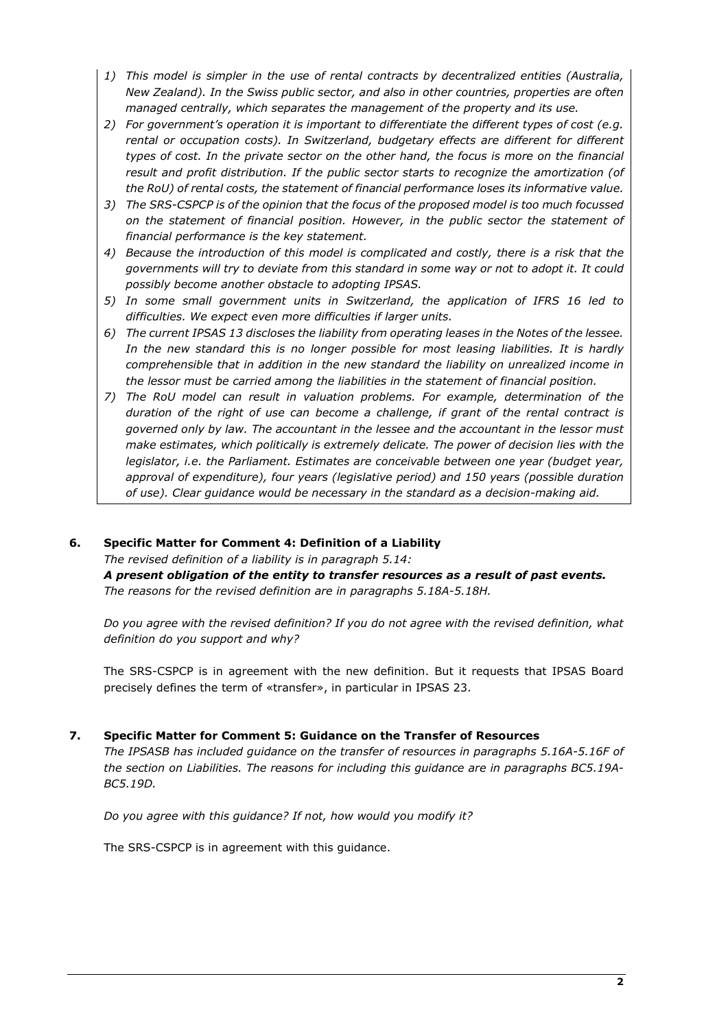- *1) This model is simpler in the use of rental contracts by decentralized entities (Australia, New Zealand). In the Swiss public sector, and also in other countries, properties are often managed centrally, which separates the management of the property and its use.*
- *2) For government's operation it is important to differentiate the different types of cost (e.g. rental or occupation costs). In Switzerland, budgetary effects are different for different types of cost. In the private sector on the other hand, the focus is more on the financial result and profit distribution. If the public sector starts to recognize the amortization (of the RoU) of rental costs, the statement of financial performance loses its informative value.*
- *3) The SRS-CSPCP is of the opinion that the focus of the proposed model is too much focussed on the statement of financial position. However, in the public sector the statement of financial performance is the key statement.*
- *4) Because the introduction of this model is complicated and costly, there is a risk that the governments will try to deviate from this standard in some way or not to adopt it. It could possibly become another obstacle to adopting IPSAS.*
- *5) In some small government units in Switzerland, the application of IFRS 16 led to difficulties. We expect even more difficulties if larger units.*
- *6) The current IPSAS 13 discloses the liability from operating leases in the Notes of the lessee. In the new standard this is no longer possible for most leasing liabilities. It is hardly comprehensible that in addition in the new standard the liability on unrealized income in the lessor must be carried among the liabilities in the statement of financial position.*
- *7) The RoU model can result in valuation problems. For example, determination of the duration of the right of use can become a challenge, if grant of the rental contract is governed only by law. The accountant in the lessee and the accountant in the lessor must make estimates, which politically is extremely delicate. The power of decision lies with the legislator, i.e. the Parliament. Estimates are conceivable between one year (budget year, approval of expenditure), four years (legislative period) and 150 years (possible duration of use). Clear guidance would be necessary in the standard as a decision-making aid.*

#### <span id="page-2-0"></span>**6. Specific Matter for Comment 4: Definition of a Liability**

*The revised definition of a liability is in paragraph 5.14:* 

*A present obligation of the entity to transfer resources as a result of past events. The reasons for the revised definition are in paragraphs 5.18A-5.18H.* 

*Do you agree with the revised definition? If you do not agree with the revised definition, what definition do you support and why?*

The SRS-CSPCP is in agreement with the new definition. But it requests that IPSAS Board precisely defines the term of «transfer», in particular in IPSAS 23.

#### <span id="page-2-1"></span>**7. Specific Matter for Comment 5: Guidance on the Transfer of Resources**

*The IPSASB has included guidance on the transfer of resources in paragraphs 5.16A-5.16F of the section on Liabilities. The reasons for including this guidance are in paragraphs BC5.19A-BC5.19D.* 

*Do you agree with this guidance? If not, how would you modify it?*

The SRS-CSPCP is in agreement with this guidance.